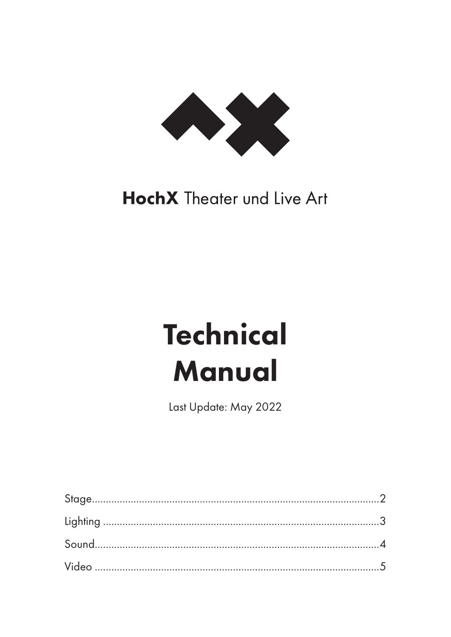

## **HochX** Theater und Live Art

# **Technical Manual**

Last Update: May 2022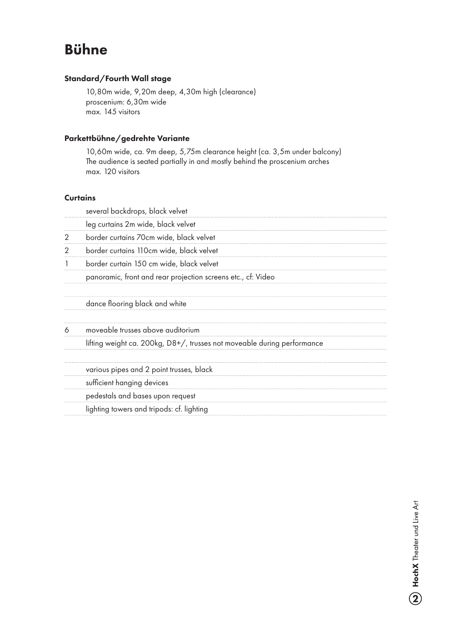## Bühne

#### Standard/Fourth Wall stage

10,80m wide, 9,20m deep, 4,30m high (clearance) proscenium: 6,30m wide max. 145 visitors

#### Parkettbühne/gedrehte Variante

10,60m wide, ca. 9m deep, 5,75m clearance height (ca. 3,5m under balcony) The audience is seated partially in and mostly behind the proscenium arches max. 120 visitors

#### **Curtains**

|   | several backdrops, black velvet                                         |
|---|-------------------------------------------------------------------------|
|   | leg curtains 2m wide, black velvet                                      |
| 2 | border curtains 70cm wide, black velvet                                 |
|   | border curtains 110cm wide, black velvet                                |
|   | border curtain 150 cm wide, black velvet                                |
|   | panoramic, front and rear projection screens etc., cf: Video            |
|   | dance flooring black and white                                          |
|   | moveable trusses above auditorium                                       |
|   | lifting weight ca. 200kg, D8+/, trusses not moveable during performance |
|   | various pipes and 2 point trusses, black                                |
|   | sufficient hanging devices                                              |
|   | pedestals and bases upon request                                        |
|   | lighting towers and tripods: cf. lighting                               |
|   |                                                                         |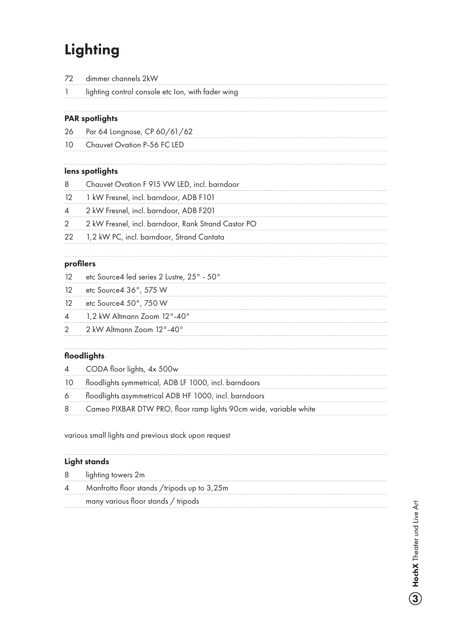## **Lighting**

| 72 |  | dimmer channels 2kW |  |
|----|--|---------------------|--|
|----|--|---------------------|--|

1 lighting control console etc Ion, with fader wing

#### PAR spotlights

26 Par 64 Longnose, CP 60/61/62

10 Chauvet Ovation P-56 FC LED

#### lens spotlights

- 8 Chauvet Ovation F 915 VW LED, incl. barndoor
- 12 1 kW Fresnel, incl. barndoor, ADB F101
- 4 2 kW Fresnel, incl. barndoor, ADB F201
- 2 2 kW Fresnel, incl. barndoor, Rank Strand Castor PO
- 22 1,2 kW PC, incl. barndoor, Strand Cantata

#### profilers

- 12 etc Source4 led series 2 Lustre, 25° 50°
- 12 etc Source 4 36°, 575 W
- 12 etc Source 4 50°, 750 W
- 4 1,2 kW Altmann Zoom 12°-40°
- 2 2 kW Altmann Zoom 12°-40°

#### floodlights

|    | 4 CODA floor lights, 4x 500w                          |
|----|-------------------------------------------------------|
| 10 | floodlights symmetrical, ADB LF 1000, incl. barndoors |

6 floodlights asymmetrical ADB HF 1000, incl. barndoors

8 Cameo PIXBAR DTW PRO, floor ramp lights 90cm wide, variable white

various small lights and previous stock upon request

#### Light stands

- 8 lighting towers 2m
- 4 Manfrotto floor stands /tripods up to 3,25m
- many various floor stands / tripods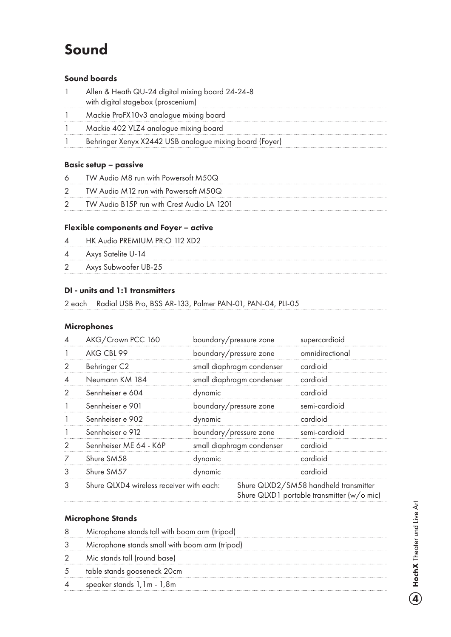## Sound

#### Sound boards

| Allen & Heath QU-24 digital mixing board 24-24-8 |  |  |
|--------------------------------------------------|--|--|
| with digital stagebox (proscenium)               |  |  |

- Mackie ProFX10v3 analogue mixing board
- 1 Mackie 402 VLZ4 analogue mixing board
- Behringer Xenyx X2442 USB analogue mixing board (Foyer)

#### Basic setup – passive

- TW Audio M8 run with Powersoft M50Q
- TW Audio M12 run with Powersoft M50Q
- TW Audio B15P run with Crest Audio LA 1201

#### Flexible components and Foyer – active

- HK Audio PREMIUM PR:O 112 XD2
- Axys Satelite U-14
- Axys Subwoofer UB-25

#### DI - units and 1:1 transmitters

2 each Radial USB Pro, BSS AR-133, Palmer PAN-01, PAN-04, PLI-05

#### Microphones

|               | AKG/Crown PCC 160                        | boundary/pressure zone    | supercardioid                                                                       |
|---------------|------------------------------------------|---------------------------|-------------------------------------------------------------------------------------|
|               | AKG CBL 99                               | boundary/pressure zone    | omnidirectional                                                                     |
| 2             | Behringer C2                             | small diaphragm condenser | cardioid                                                                            |
| 4             | Neumann KM 184                           | small diaphragm condenser | cardioid                                                                            |
| 2             | Sennheiser e 604                         | dynamic                   | cardioid                                                                            |
|               | Sennheiser e 901                         | boundary/pressure zone    | semi-cardioid                                                                       |
|               | Sennheiser e 902                         | dynamic                   | cardioid                                                                            |
|               | Sennheiser e 912                         | boundary/pressure zone    | semi-cardioid                                                                       |
| $\mathcal{P}$ | Sennheiser ME 64 - K6P                   | small diaphragm condenser | cardioid                                                                            |
|               | Shure SM58                               | dynamic                   | cardioid                                                                            |
| 3             | Shure SM57                               | dynamic                   | cardioid                                                                            |
| 3             | Shure QLXD4 wireless receiver with each: |                           | Shure QLXD2/SM58 handheld transmitter<br>Shure QLXD1 portable transmitter (w/o mic) |

#### Microphone Stands

- Microphone stands tall with boom arm (tripod) Microphone stands small with boom arm (tripod) Mic stands tall (round base) table stands gooseneck 20cm
- speaker stands 1,1m 1,8m